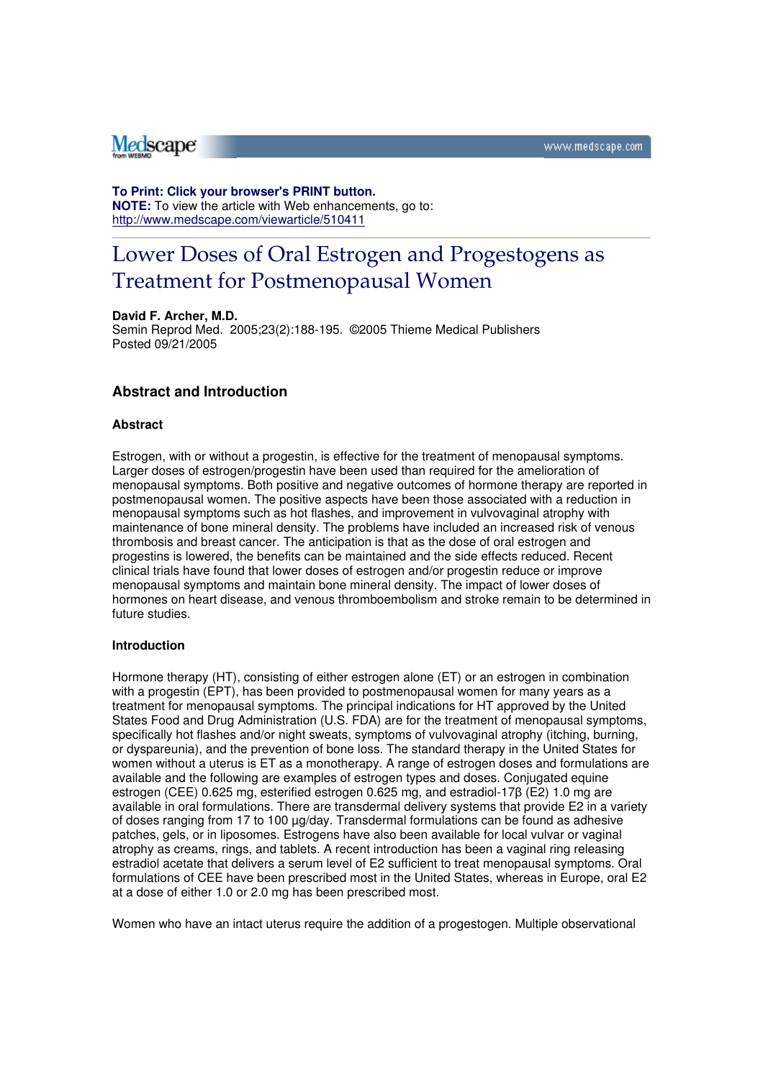# Medscape

#### **To Print: Click your browser's PRINT button.**

**NOTE:** To view the article with Web enhancements, go to: http://www.medscape.com/viewarticle/510411

# Lower Doses of Oral Estrogen and Progestogens as Treatment for Postmenopausal Women

#### **David F. Archer, M.D.**

Semin Reprod Med. 2005;23(2):188-195. ©2005 Thieme Medical Publishers Posted 09/21/2005

#### **Abstract and Introduction**

#### **Abstract**

Estrogen, with or without a progestin, is effective for the treatment of menopausal symptoms. Larger doses of estrogen/progestin have been used than required for the amelioration of menopausal symptoms. Both positive and negative outcomes of hormone therapy are reported in postmenopausal women. The positive aspects have been those associated with a reduction in menopausal symptoms such as hot flashes, and improvement in vulvovaginal atrophy with maintenance of bone mineral density. The problems have included an increased risk of venous thrombosis and breast cancer. The anticipation is that as the dose of oral estrogen and progestins is lowered, the benefits can be maintained and the side effects reduced. Recent clinical trials have found that lower doses of estrogen and/or progestin reduce or improve menopausal symptoms and maintain bone mineral density. The impact of lower doses of hormones on heart disease, and venous thromboembolism and stroke remain to be determined in future studies.

#### **Introduction**

Hormone therapy (HT), consisting of either estrogen alone (ET) or an estrogen in combination with a progestin (EPT), has been provided to postmenopausal women for many years as a treatment for menopausal symptoms. The principal indications for HT approved by the United States Food and Drug Administration (U.S. FDA) are for the treatment of menopausal symptoms, specifically hot flashes and/or night sweats, symptoms of vulvovaginal atrophy (itching, burning, or dyspareunia), and the prevention of bone loss. The standard therapy in the United States for women without a uterus is ET as a monotherapy. A range of estrogen doses and formulations are available and the following are examples of estrogen types and doses. Conjugated equine estrogen (CEE) 0.625 mg, esterified estrogen 0.625 mg, and estradiol-17β (E2) 1.0 mg are available in oral formulations. There are transdermal delivery systems that provide E2 in a variety of doses ranging from 17 to 100  $\mu$ g/day. Transdermal formulations can be found as adhesive patches, gels, or in liposomes. Estrogens have also been available for local vulvar or vaginal atrophy as creams, rings, and tablets. A recent introduction has been a vaginal ring releasing estradiol acetate that delivers a serum level of E2 sufficient to treat menopausal symptoms. Oral formulations of CEE have been prescribed most in the United States, whereas in Europe, oral E2 at a dose of either 1.0 or 2.0 mg has been prescribed most.

Women who have an intact uterus require the addition of a progestogen. Multiple observational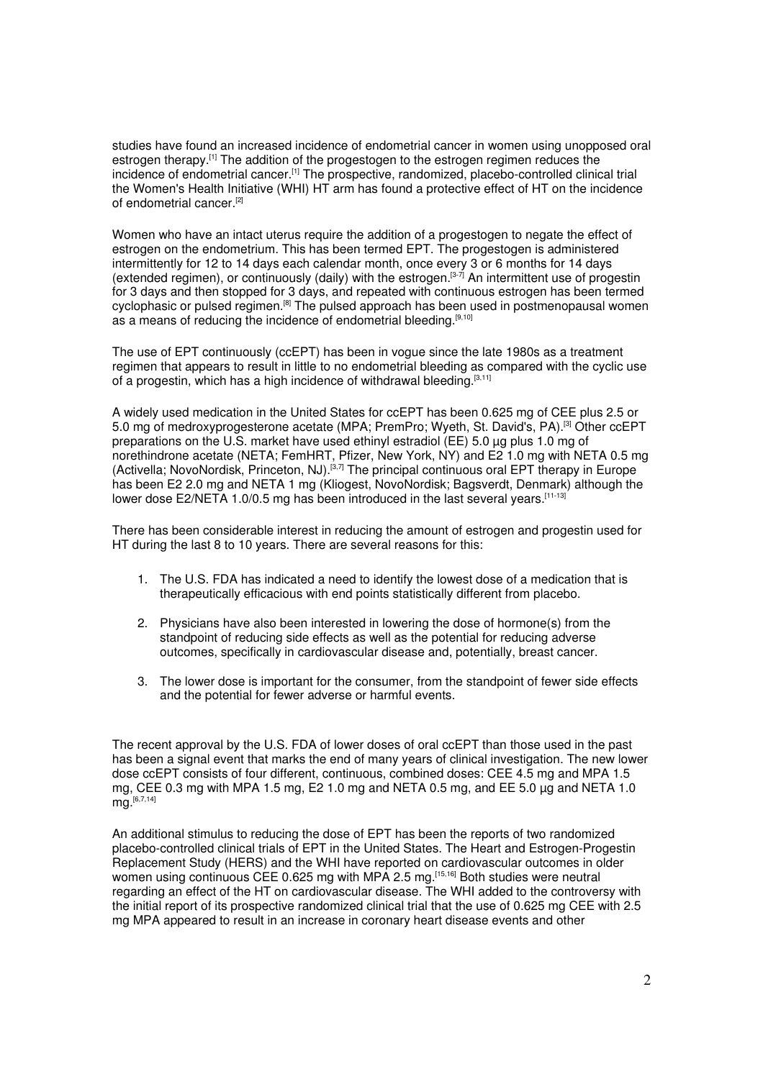studies have found an increased incidence of endometrial cancer in women using unopposed oral estrogen therapy.<sup>[1]</sup> The addition of the progestogen to the estrogen regimen reduces the incidence of endometrial cancer.[1] The prospective, randomized, placebo-controlled clinical trial the Women's Health Initiative (WHI) HT arm has found a protective effect of HT on the incidence of endometrial cancer.[2]

Women who have an intact uterus require the addition of a progestogen to negate the effect of estrogen on the endometrium. This has been termed EPT. The progestogen is administered intermittently for 12 to 14 days each calendar month, once every 3 or 6 months for 14 days (extended regimen), or continuously (daily) with the estrogen.[3-7] An intermittent use of progestin for 3 days and then stopped for 3 days, and repeated with continuous estrogen has been termed cyclophasic or pulsed regimen.[8] The pulsed approach has been used in postmenopausal women as a means of reducing the incidence of endometrial bleeding.[9,10]

The use of EPT continuously (ccEPT) has been in vogue since the late 1980s as a treatment regimen that appears to result in little to no endometrial bleeding as compared with the cyclic use of a progestin, which has a high incidence of withdrawal bleeding.<sup>[3,11]</sup>

A widely used medication in the United States for ccEPT has been 0.625 mg of CEE plus 2.5 or 5.0 mg of medroxyprogesterone acetate (MPA; PremPro; Wyeth, St. David's, PA).[3] Other ccEPT preparations on the U.S. market have used ethinyl estradiol (EE) 5.0 µg plus 1.0 mg of norethindrone acetate (NETA; FemHRT, Pfizer, New York, NY) and E2 1.0 mg with NETA 0.5 mg (Activella; NovoNordisk, Princeton, NJ).<sup>[3,7]</sup> The principal continuous oral EPT therapy in Europe has been E2 2.0 mg and NETA 1 mg (Kliogest, NovoNordisk; Bagsverdt, Denmark) although the lower dose E2/NETA 1.0/0.5 mg has been introduced in the last several years.<sup>[11-13]</sup>

There has been considerable interest in reducing the amount of estrogen and progestin used for HT during the last 8 to 10 years. There are several reasons for this:

- 1. The U.S. FDA has indicated a need to identify the lowest dose of a medication that is therapeutically efficacious with end points statistically different from placebo.
- 2. Physicians have also been interested in lowering the dose of hormone(s) from the standpoint of reducing side effects as well as the potential for reducing adverse outcomes, specifically in cardiovascular disease and, potentially, breast cancer.
- 3. The lower dose is important for the consumer, from the standpoint of fewer side effects and the potential for fewer adverse or harmful events.

The recent approval by the U.S. FDA of lower doses of oral ccEPT than those used in the past has been a signal event that marks the end of many years of clinical investigation. The new lower dose ccEPT consists of four different, continuous, combined doses: CEE 4.5 mg and MPA 1.5 mg, CEE 0.3 mg with MPA 1.5 mg, E2 1.0 mg and NETA 0.5 mg, and EE 5.0 µg and NETA 1.0 mg.[6,7,14]

An additional stimulus to reducing the dose of EPT has been the reports of two randomized placebo-controlled clinical trials of EPT in the United States. The Heart and Estrogen-Progestin Replacement Study (HERS) and the WHI have reported on cardiovascular outcomes in older women using continuous CEE 0.625 mg with MPA 2.5 mg.<sup>[15,16]</sup> Both studies were neutral regarding an effect of the HT on cardiovascular disease. The WHI added to the controversy with the initial report of its prospective randomized clinical trial that the use of 0.625 mg CEE with 2.5 mg MPA appeared to result in an increase in coronary heart disease events and other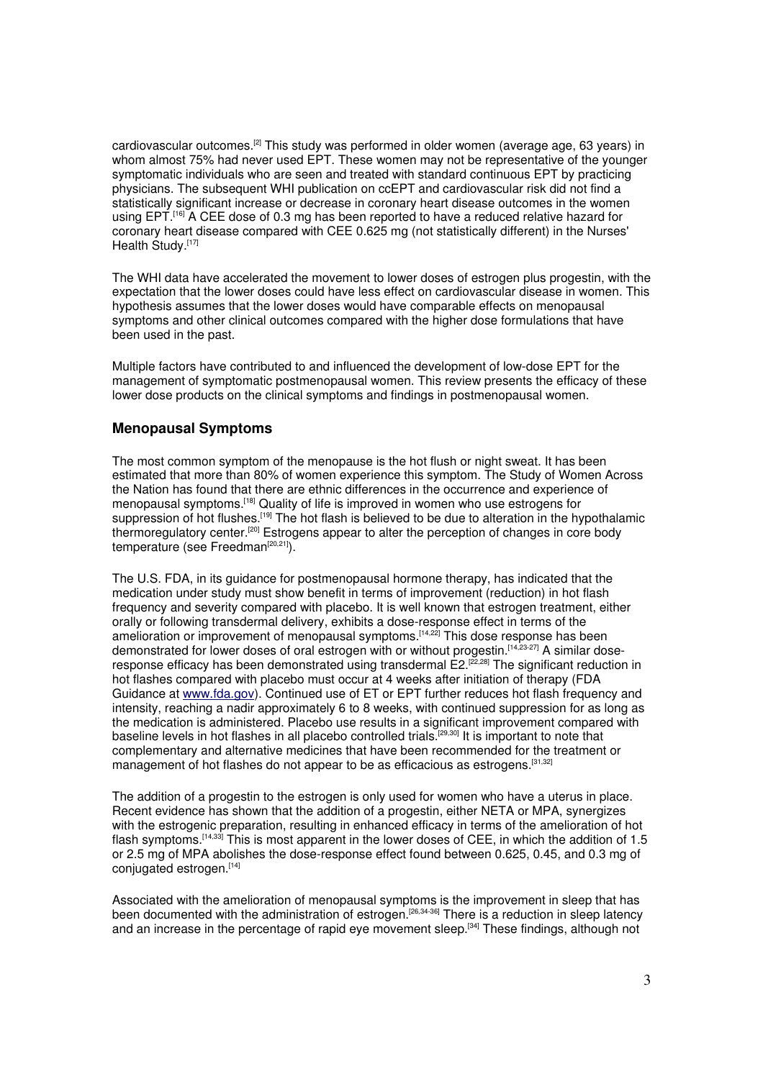cardiovascular outcomes.[2] This study was performed in older women (average age, 63 years) in whom almost 75% had never used EPT. These women may not be representative of the younger symptomatic individuals who are seen and treated with standard continuous EPT by practicing physicians. The subsequent WHI publication on ccEPT and cardiovascular risk did not find a statistically significant increase or decrease in coronary heart disease outcomes in the women using EPT.<sup>[16]</sup> A CEE dose of 0.3 mg has been reported to have a reduced relative hazard for coronary heart disease compared with CEE 0.625 mg (not statistically different) in the Nurses' Health Study.<sup>[17]</sup>

The WHI data have accelerated the movement to lower doses of estrogen plus progestin, with the expectation that the lower doses could have less effect on cardiovascular disease in women. This hypothesis assumes that the lower doses would have comparable effects on menopausal symptoms and other clinical outcomes compared with the higher dose formulations that have been used in the past.

Multiple factors have contributed to and influenced the development of low-dose EPT for the management of symptomatic postmenopausal women. This review presents the efficacy of these lower dose products on the clinical symptoms and findings in postmenopausal women.

# **Menopausal Symptoms**

The most common symptom of the menopause is the hot flush or night sweat. It has been estimated that more than 80% of women experience this symptom. The Study of Women Across the Nation has found that there are ethnic differences in the occurrence and experience of menopausal symptoms.[18] Quality of life is improved in women who use estrogens for suppression of hot flushes.<sup>[19]</sup> The hot flash is believed to be due to alteration in the hypothalamic thermoregulatory center.[20] Estrogens appear to alter the perception of changes in core body temperature (see Freedman<sup>[20,21]</sup>).

The U.S. FDA, in its guidance for postmenopausal hormone therapy, has indicated that the medication under study must show benefit in terms of improvement (reduction) in hot flash frequency and severity compared with placebo. It is well known that estrogen treatment, either orally or following transdermal delivery, exhibits a dose-response effect in terms of the amelioration or improvement of menopausal symptoms.[14,22] This dose response has been demonstrated for lower doses of oral estrogen with or without progestin.<sup>[14,23-27]</sup> A similar doseresponse efficacy has been demonstrated using transdermal E2.<sup>[22,28]</sup> The significant reduction in hot flashes compared with placebo must occur at 4 weeks after initiation of therapy (FDA Guidance at www.fda.gov). Continued use of ET or EPT further reduces hot flash frequency and intensity, reaching a nadir approximately 6 to 8 weeks, with continued suppression for as long as the medication is administered. Placebo use results in a significant improvement compared with baseline levels in hot flashes in all placebo controlled trials.<sup>[29,30]</sup> It is important to note that complementary and alternative medicines that have been recommended for the treatment or management of hot flashes do not appear to be as efficacious as estrogens.<sup>[31,32]</sup>

The addition of a progestin to the estrogen is only used for women who have a uterus in place. Recent evidence has shown that the addition of a progestin, either NETA or MPA, synergizes with the estrogenic preparation, resulting in enhanced efficacy in terms of the amelioration of hot flash symptoms.<sup>[14,33]</sup> This is most apparent in the lower doses of CEE, in which the addition of 1.5 or 2.5 mg of MPA abolishes the dose-response effect found between 0.625, 0.45, and 0.3 mg of conjugated estrogen.[14]

Associated with the amelioration of menopausal symptoms is the improvement in sleep that has been documented with the administration of estrogen.<sup>[26,34-36]</sup> There is a reduction in sleep latency and an increase in the percentage of rapid eye movement sleep.[34] These findings, although not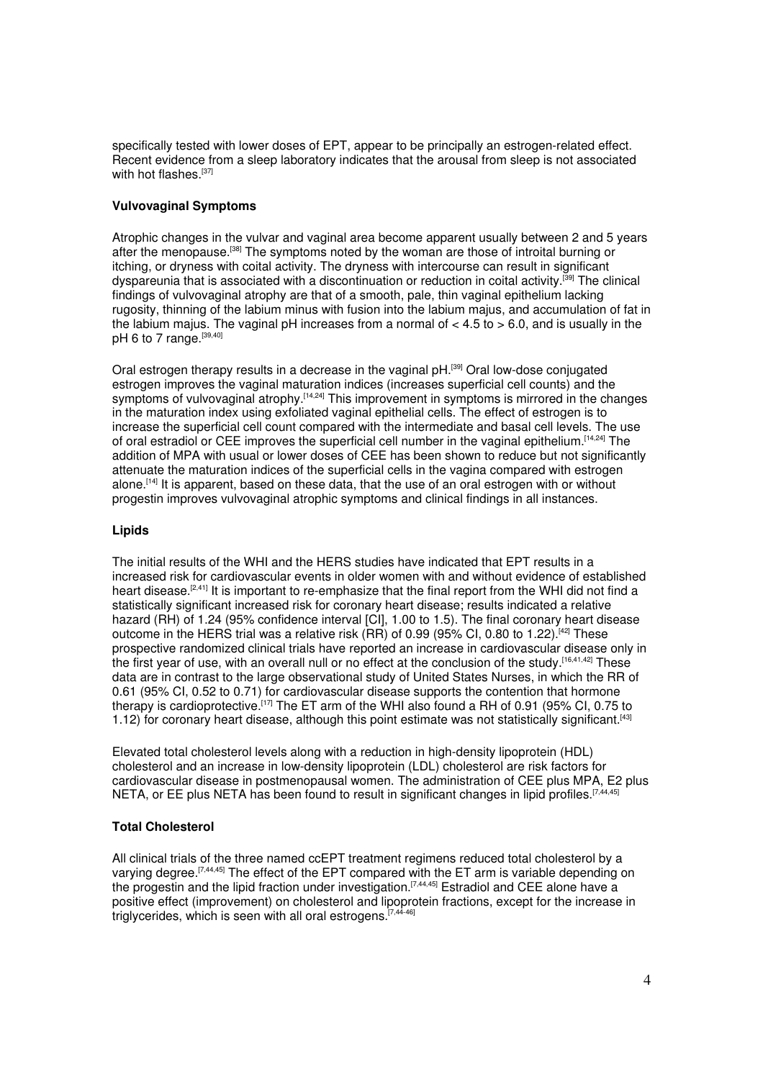specifically tested with lower doses of EPT, appear to be principally an estrogen-related effect. Recent evidence from a sleep laboratory indicates that the arousal from sleep is not associated with hot flashes.<sup>[37]</sup>

# **Vulvovaginal Symptoms**

Atrophic changes in the vulvar and vaginal area become apparent usually between 2 and 5 years after the menopause.[38] The symptoms noted by the woman are those of introital burning or itching, or dryness with coital activity. The dryness with intercourse can result in significant dyspareunia that is associated with a discontinuation or reduction in coital activity.[39] The clinical findings of vulvovaginal atrophy are that of a smooth, pale, thin vaginal epithelium lacking rugosity, thinning of the labium minus with fusion into the labium majus, and accumulation of fat in the labium majus. The vaginal pH increases from a normal of  $<$  4.5 to  $>$  6.0, and is usually in the pH 6 to 7 range.<sup>[39,40]</sup>

Oral estrogen therapy results in a decrease in the vaginal pH.[39] Oral low-dose conjugated estrogen improves the vaginal maturation indices (increases superficial cell counts) and the symptoms of vulvovaginal atrophy.<sup>[14,24]</sup> This improvement in symptoms is mirrored in the changes in the maturation index using exfoliated vaginal epithelial cells. The effect of estrogen is to increase the superficial cell count compared with the intermediate and basal cell levels. The use of oral estradiol or CEE improves the superficial cell number in the vaginal epithelium.[14,24] The addition of MPA with usual or lower doses of CEE has been shown to reduce but not significantly attenuate the maturation indices of the superficial cells in the vagina compared with estrogen alone.[14] It is apparent, based on these data, that the use of an oral estrogen with or without progestin improves vulvovaginal atrophic symptoms and clinical findings in all instances.

#### **Lipids**

The initial results of the WHI and the HERS studies have indicated that EPT results in a increased risk for cardiovascular events in older women with and without evidence of established heart disease.<sup>[2,41]</sup> It is important to re-emphasize that the final report from the WHI did not find a statistically significant increased risk for coronary heart disease; results indicated a relative hazard (RH) of 1.24 (95% confidence interval [CI], 1.00 to 1.5). The final coronary heart disease outcome in the HERS trial was a relative risk (RR) of 0.99 (95% CI, 0.80 to 1.22).[42] These prospective randomized clinical trials have reported an increase in cardiovascular disease only in the first year of use, with an overall null or no effect at the conclusion of the study.[16,41,42] These data are in contrast to the large observational study of United States Nurses, in which the RR of 0.61 (95% CI, 0.52 to 0.71) for cardiovascular disease supports the contention that hormone therapy is cardioprotective.[17] The ET arm of the WHI also found a RH of 0.91 (95% CI, 0.75 to 1.12) for coronary heart disease, although this point estimate was not statistically significant.<sup>[43]</sup>

Elevated total cholesterol levels along with a reduction in high-density lipoprotein (HDL) cholesterol and an increase in low-density lipoprotein (LDL) cholesterol are risk factors for cardiovascular disease in postmenopausal women. The administration of CEE plus MPA, E2 plus NETA, or EE plus NETA has been found to result in significant changes in lipid profiles.<sup>[7,44,45]</sup>

# **Total Cholesterol**

All clinical trials of the three named ccEPT treatment regimens reduced total cholesterol by a varying degree.<sup>[7,44,45]</sup> The effect of the EPT compared with the ET arm is variable depending on the progestin and the lipid fraction under investigation.[7,44,45] Estradiol and CEE alone have a positive effect (improvement) on cholesterol and lipoprotein fractions, except for the increase in triglycerides, which is seen with all oral estrogens.<sup>[7,44-46]</sup>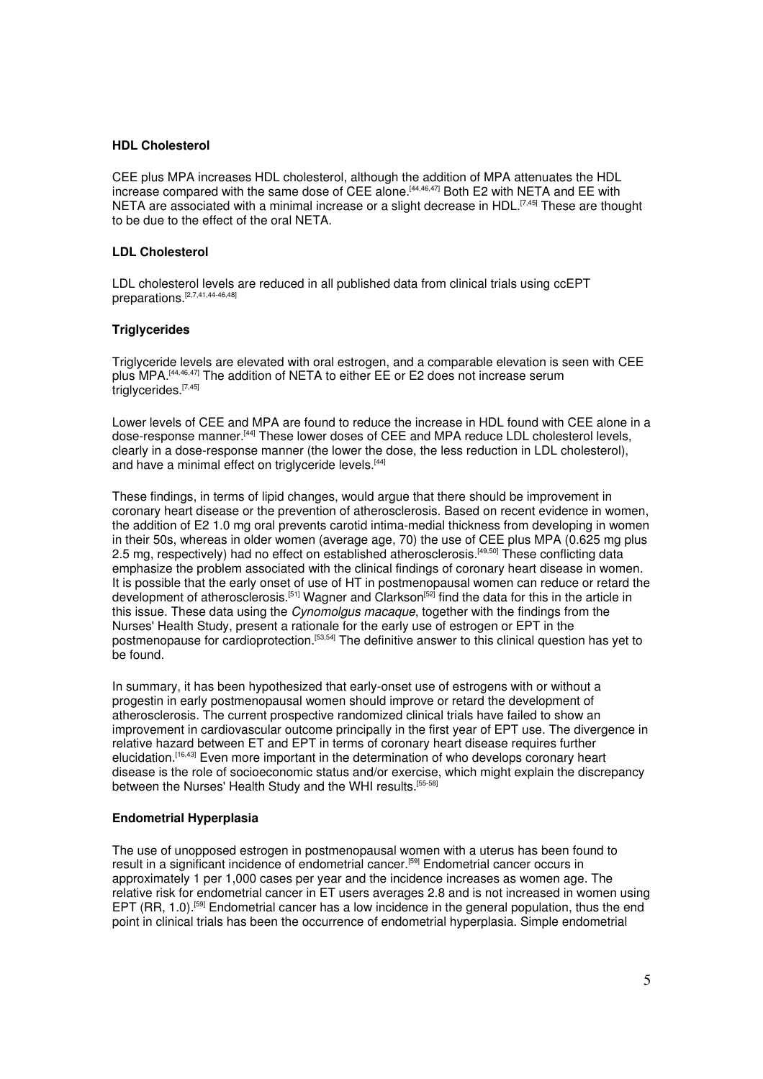#### **HDL Cholesterol**

CEE plus MPA increases HDL cholesterol, although the addition of MPA attenuates the HDL increase compared with the same dose of CEE alone.[44,46,47] Both E2 with NETA and EE with NETA are associated with a minimal increase or a slight decrease in HDL.<sup>[7,45]</sup> These are thought to be due to the effect of the oral NETA.

#### **LDL Cholesterol**

LDL cholesterol levels are reduced in all published data from clinical trials using ccEPT preparations.[2,7,41,44-46,48]

#### **Triglycerides**

Triglyceride levels are elevated with oral estrogen, and a comparable elevation is seen with CEE plus MPA.[44,46,47] The addition of NETA to either EE or E2 does not increase serum triglycerides.<sup>[7,45]</sup>

Lower levels of CEE and MPA are found to reduce the increase in HDL found with CEE alone in a dose-response manner.<sup>[44]</sup> These lower doses of CEE and MPA reduce LDL cholesterol levels, clearly in a dose-response manner (the lower the dose, the less reduction in LDL cholesterol), and have a minimal effect on triglyceride levels.<sup>[44]</sup>

These findings, in terms of lipid changes, would argue that there should be improvement in coronary heart disease or the prevention of atherosclerosis. Based on recent evidence in women, the addition of E2 1.0 mg oral prevents carotid intima-medial thickness from developing in women in their 50s, whereas in older women (average age, 70) the use of CEE plus MPA (0.625 mg plus 2.5 mg, respectively) had no effect on established atherosclerosis.<sup>[49,50]</sup> These conflicting data emphasize the problem associated with the clinical findings of coronary heart disease in women. It is possible that the early onset of use of HT in postmenopausal women can reduce or retard the development of atherosclerosis.<sup>[51]</sup> Wagner and Clarkson<sup>[52]</sup> find the data for this in the article in this issue. These data using the *Cynomolgus macaque*, together with the findings from the Nurses' Health Study, present a rationale for the early use of estrogen or EPT in the postmenopause for cardioprotection.[53,54] The definitive answer to this clinical question has yet to be found.

In summary, it has been hypothesized that early-onset use of estrogens with or without a progestin in early postmenopausal women should improve or retard the development of atherosclerosis. The current prospective randomized clinical trials have failed to show an improvement in cardiovascular outcome principally in the first year of EPT use. The divergence in relative hazard between ET and EPT in terms of coronary heart disease requires further elucidation.<sup>[16,43]</sup> Even more important in the determination of who develops coronary heart disease is the role of socioeconomic status and/or exercise, which might explain the discrepancy between the Nurses' Health Study and the WHI results.<sup>[55-58]</sup>

#### **Endometrial Hyperplasia**

The use of unopposed estrogen in postmenopausal women with a uterus has been found to result in a significant incidence of endometrial cancer.[59] Endometrial cancer occurs in approximately 1 per 1,000 cases per year and the incidence increases as women age. The relative risk for endometrial cancer in ET users averages 2.8 and is not increased in women using EPT (RR, 1.0).<sup>[59]</sup> Endometrial cancer has a low incidence in the general population, thus the end point in clinical trials has been the occurrence of endometrial hyperplasia. Simple endometrial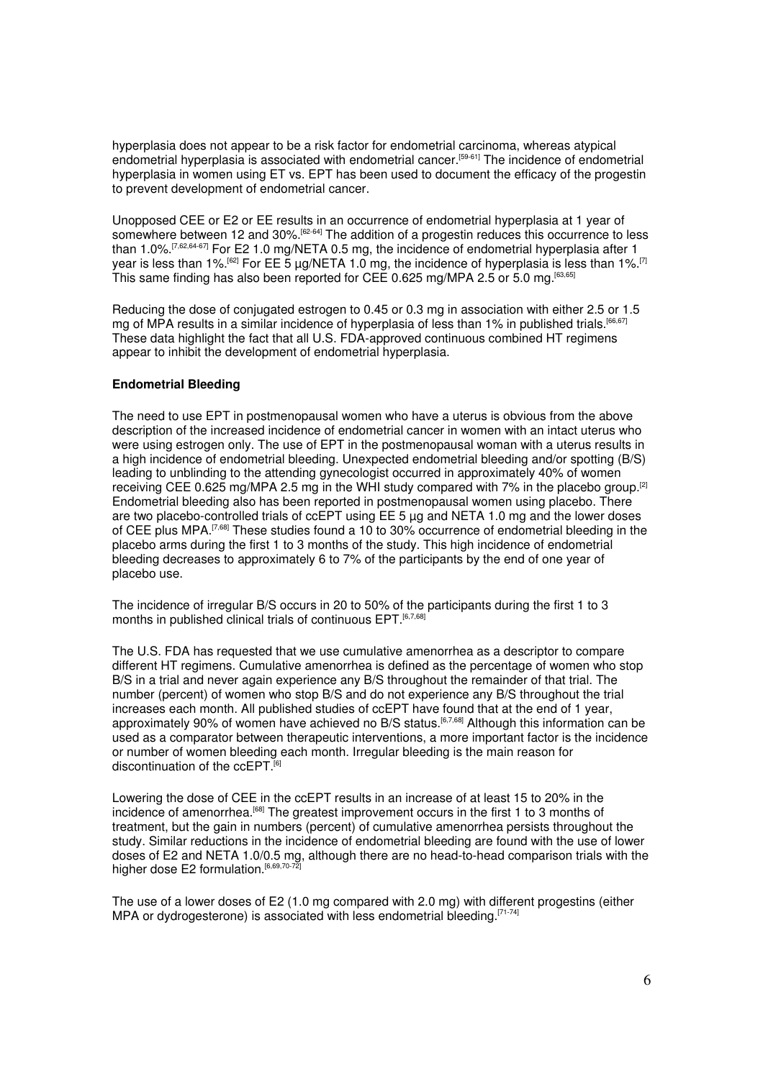hyperplasia does not appear to be a risk factor for endometrial carcinoma, whereas atypical endometrial hyperplasia is associated with endometrial cancer.<sup>[59-61]</sup> The incidence of endometrial hyperplasia in women using ET vs. EPT has been used to document the efficacy of the progestin to prevent development of endometrial cancer.

Unopposed CEE or E2 or EE results in an occurrence of endometrial hyperplasia at 1 year of somewhere between 12 and 30%.<sup>[62-64]</sup> The addition of a progestin reduces this occurrence to less than 1.0%.[7,62,64-67] For E2 1.0 mg/NETA 0.5 mg, the incidence of endometrial hyperplasia after 1 year is less than 1%.<sup>[62]</sup> For EE 5  $\mu$ g/NETA 1.0 mg, the incidence of hyperplasia is less than 1%.<sup>[7]</sup> This same finding has also been reported for CEE 0.625 mg/MPA 2.5 or 5.0 mg.[63,65]

Reducing the dose of conjugated estrogen to 0.45 or 0.3 mg in association with either 2.5 or 1.5 mg of MPA results in a similar incidence of hyperplasia of less than 1% in published trials.<sup>[66,67]</sup> These data highlight the fact that all U.S. FDA-approved continuous combined HT regimens appear to inhibit the development of endometrial hyperplasia.

#### **Endometrial Bleeding**

The need to use EPT in postmenopausal women who have a uterus is obvious from the above description of the increased incidence of endometrial cancer in women with an intact uterus who were using estrogen only. The use of EPT in the postmenopausal woman with a uterus results in a high incidence of endometrial bleeding. Unexpected endometrial bleeding and/or spotting (B/S) leading to unblinding to the attending gynecologist occurred in approximately 40% of women receiving CEE 0.625 mg/MPA 2.5 mg in the WHI study compared with 7% in the placebo group.<sup>[2]</sup> Endometrial bleeding also has been reported in postmenopausal women using placebo. There are two placebo-controlled trials of ccEPT using EE 5 µg and NETA 1.0 mg and the lower doses of CEE plus MPA.<sup>[7,68]</sup> These studies found a 10 to 30% occurrence of endometrial bleeding in the placebo arms during the first 1 to 3 months of the study. This high incidence of endometrial bleeding decreases to approximately 6 to 7% of the participants by the end of one year of placebo use.

The incidence of irregular B/S occurs in 20 to 50% of the participants during the first 1 to 3 months in published clinical trials of continuous EPT.<sup>[6,7,68</sup>]

The U.S. FDA has requested that we use cumulative amenorrhea as a descriptor to compare different HT regimens. Cumulative amenorrhea is defined as the percentage of women who stop B/S in a trial and never again experience any B/S throughout the remainder of that trial. The number (percent) of women who stop B/S and do not experience any B/S throughout the trial increases each month. All published studies of ccEPT have found that at the end of 1 year, approximately 90% of women have achieved no B/S status.<sup>[6,7,68]</sup> Although this information can be used as a comparator between therapeutic interventions, a more important factor is the incidence or number of women bleeding each month. Irregular bleeding is the main reason for discontinuation of the ccEPT.<sup>[6]</sup>

Lowering the dose of CEE in the ccEPT results in an increase of at least 15 to 20% in the incidence of amenorrhea.<sup>[68]</sup> The greatest improvement occurs in the first 1 to 3 months of treatment, but the gain in numbers (percent) of cumulative amenorrhea persists throughout the study. Similar reductions in the incidence of endometrial bleeding are found with the use of lower doses of E2 and NETA 1.0/0.5 mg, although there are no head-to-head comparison trials with the higher dose E2 formulation.<sup>[6,69,70-72]</sup>

The use of a lower doses of E2 (1.0 mg compared with 2.0 mg) with different progestins (either MPA or dydrogesterone) is associated with less endometrial bleeding.<sup>[71-74]</sup>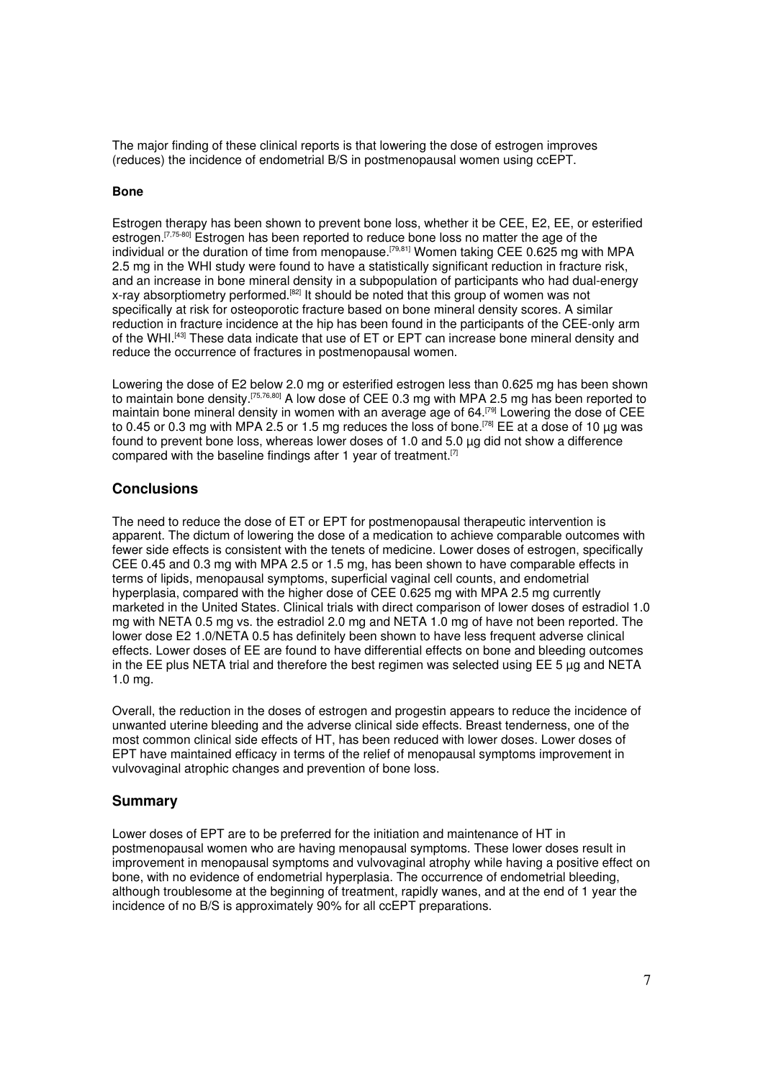The major finding of these clinical reports is that lowering the dose of estrogen improves (reduces) the incidence of endometrial B/S in postmenopausal women using ccEPT.

#### **Bone**

Estrogen therapy has been shown to prevent bone loss, whether it be CEE, E2, EE, or esterified estrogen.<sup>[7,75-80]</sup> Estrogen has been reported to reduce bone loss no matter the age of the individual or the duration of time from menopause.<sup>[79,81]</sup> Women taking CEE 0.625 mg with MPA 2.5 mg in the WHI study were found to have a statistically significant reduction in fracture risk, and an increase in bone mineral density in a subpopulation of participants who had dual-energy x-ray absorptiometry performed.<sup>[82]</sup> It should be noted that this group of women was not specifically at risk for osteoporotic fracture based on bone mineral density scores. A similar reduction in fracture incidence at the hip has been found in the participants of the CEE-only arm of the WHI.[43] These data indicate that use of ET or EPT can increase bone mineral density and reduce the occurrence of fractures in postmenopausal women.

Lowering the dose of E2 below 2.0 mg or esterified estrogen less than 0.625 mg has been shown to maintain bone density.[75,76,80] A low dose of CEE 0.3 mg with MPA 2.5 mg has been reported to maintain bone mineral density in women with an average age of 64.<sup>[79]</sup> Lowering the dose of CEE to 0.45 or 0.3 mg with MPA 2.5 or 1.5 mg reduces the loss of bone.<sup>[78]</sup> EE at a dose of 10 µg was found to prevent bone loss, whereas lower doses of 1.0 and 5.0 µg did not show a difference compared with the baseline findings after 1 year of treatment.<sup>[7]</sup>

# **Conclusions**

The need to reduce the dose of ET or EPT for postmenopausal therapeutic intervention is apparent. The dictum of lowering the dose of a medication to achieve comparable outcomes with fewer side effects is consistent with the tenets of medicine. Lower doses of estrogen, specifically CEE 0.45 and 0.3 mg with MPA 2.5 or 1.5 mg, has been shown to have comparable effects in terms of lipids, menopausal symptoms, superficial vaginal cell counts, and endometrial hyperplasia, compared with the higher dose of CEE 0.625 mg with MPA 2.5 mg currently marketed in the United States. Clinical trials with direct comparison of lower doses of estradiol 1.0 mg with NETA 0.5 mg vs. the estradiol 2.0 mg and NETA 1.0 mg of have not been reported. The lower dose E2 1.0/NETA 0.5 has definitely been shown to have less frequent adverse clinical effects. Lower doses of EE are found to have differential effects on bone and bleeding outcomes in the EE plus NETA trial and therefore the best regimen was selected using EE 5 µg and NETA 1.0 mg.

Overall, the reduction in the doses of estrogen and progestin appears to reduce the incidence of unwanted uterine bleeding and the adverse clinical side effects. Breast tenderness, one of the most common clinical side effects of HT, has been reduced with lower doses. Lower doses of EPT have maintained efficacy in terms of the relief of menopausal symptoms improvement in vulvovaginal atrophic changes and prevention of bone loss.

# **Summary**

Lower doses of EPT are to be preferred for the initiation and maintenance of HT in postmenopausal women who are having menopausal symptoms. These lower doses result in improvement in menopausal symptoms and vulvovaginal atrophy while having a positive effect on bone, with no evidence of endometrial hyperplasia. The occurrence of endometrial bleeding, although troublesome at the beginning of treatment, rapidly wanes, and at the end of 1 year the incidence of no B/S is approximately 90% for all ccEPT preparations.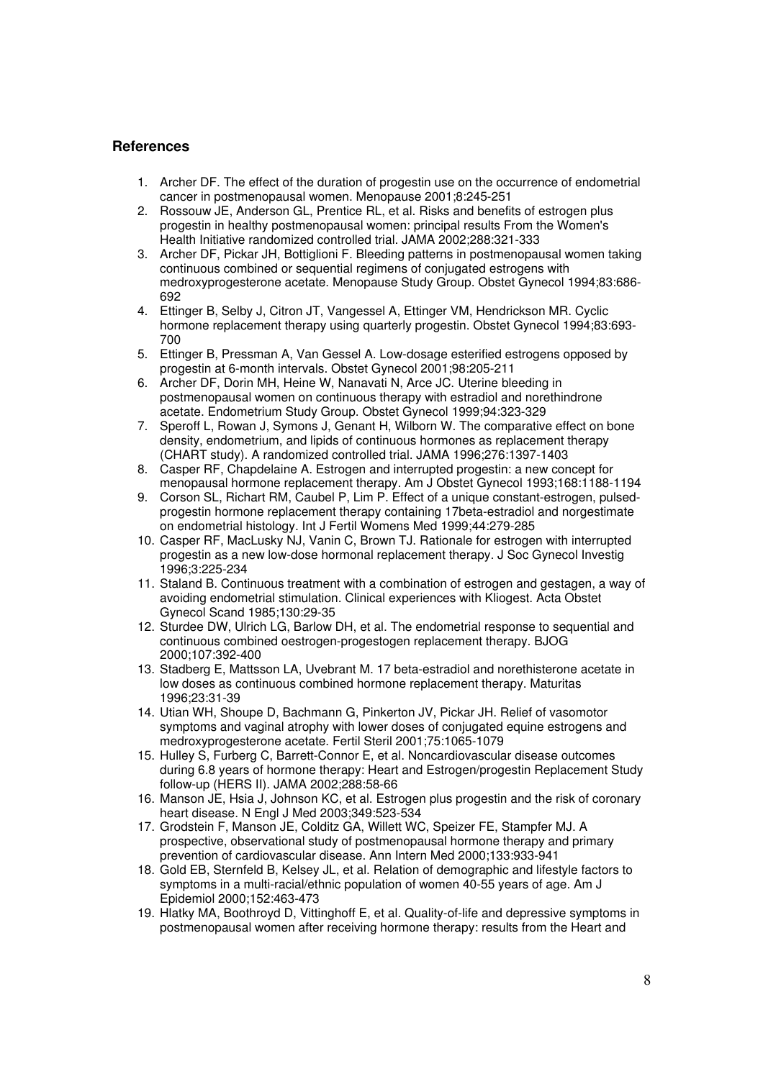# **References**

- 1. Archer DF. The effect of the duration of progestin use on the occurrence of endometrial cancer in postmenopausal women. Menopause 2001;8:245-251
- 2. Rossouw JE, Anderson GL, Prentice RL, et al. Risks and benefits of estrogen plus progestin in healthy postmenopausal women: principal results From the Women's Health Initiative randomized controlled trial. JAMA 2002;288:321-333
- 3. Archer DF, Pickar JH, Bottiglioni F. Bleeding patterns in postmenopausal women taking continuous combined or sequential regimens of conjugated estrogens with medroxyprogesterone acetate. Menopause Study Group. Obstet Gynecol 1994;83:686- 692
- 4. Ettinger B, Selby J, Citron JT, Vangessel A, Ettinger VM, Hendrickson MR. Cyclic hormone replacement therapy using quarterly progestin. Obstet Gynecol 1994;83:693- 700
- 5. Ettinger B, Pressman A, Van Gessel A. Low-dosage esterified estrogens opposed by progestin at 6-month intervals. Obstet Gynecol 2001;98:205-211
- 6. Archer DF, Dorin MH, Heine W, Nanavati N, Arce JC. Uterine bleeding in postmenopausal women on continuous therapy with estradiol and norethindrone acetate. Endometrium Study Group. Obstet Gynecol 1999;94:323-329
- 7. Speroff L, Rowan J, Symons J, Genant H, Wilborn W. The comparative effect on bone density, endometrium, and lipids of continuous hormones as replacement therapy (CHART study). A randomized controlled trial. JAMA 1996;276:1397-1403
- 8. Casper RF, Chapdelaine A. Estrogen and interrupted progestin: a new concept for menopausal hormone replacement therapy. Am J Obstet Gynecol 1993;168:1188-1194
- 9. Corson SL, Richart RM, Caubel P, Lim P. Effect of a unique constant-estrogen, pulsedprogestin hormone replacement therapy containing 17beta-estradiol and norgestimate on endometrial histology. Int J Fertil Womens Med 1999;44:279-285
- 10. Casper RF, MacLusky NJ, Vanin C, Brown TJ. Rationale for estrogen with interrupted progestin as a new low-dose hormonal replacement therapy. J Soc Gynecol Investig 1996;3:225-234
- 11. Staland B. Continuous treatment with a combination of estrogen and gestagen, a way of avoiding endometrial stimulation. Clinical experiences with Kliogest. Acta Obstet Gynecol Scand 1985;130:29-35
- 12. Sturdee DW, Ulrich LG, Barlow DH, et al. The endometrial response to sequential and continuous combined oestrogen-progestogen replacement therapy. BJOG 2000;107:392-400
- 13. Stadberg E, Mattsson LA, Uvebrant M. 17 beta-estradiol and norethisterone acetate in low doses as continuous combined hormone replacement therapy. Maturitas 1996;23:31-39
- 14. Utian WH, Shoupe D, Bachmann G, Pinkerton JV, Pickar JH. Relief of vasomotor symptoms and vaginal atrophy with lower doses of conjugated equine estrogens and medroxyprogesterone acetate. Fertil Steril 2001;75:1065-1079
- 15. Hulley S, Furberg C, Barrett-Connor E, et al. Noncardiovascular disease outcomes during 6.8 years of hormone therapy: Heart and Estrogen/progestin Replacement Study follow-up (HERS II). JAMA 2002;288:58-66
- 16. Manson JE, Hsia J, Johnson KC, et al. Estrogen plus progestin and the risk of coronary heart disease. N Engl J Med 2003;349:523-534
- 17. Grodstein F, Manson JE, Colditz GA, Willett WC, Speizer FE, Stampfer MJ. A prospective, observational study of postmenopausal hormone therapy and primary prevention of cardiovascular disease. Ann Intern Med 2000;133:933-941
- 18. Gold EB, Sternfeld B, Kelsey JL, et al. Relation of demographic and lifestyle factors to symptoms in a multi-racial/ethnic population of women 40-55 years of age. Am J Epidemiol 2000;152:463-473
- 19. Hlatky MA, Boothroyd D, Vittinghoff E, et al. Quality-of-life and depressive symptoms in postmenopausal women after receiving hormone therapy: results from the Heart and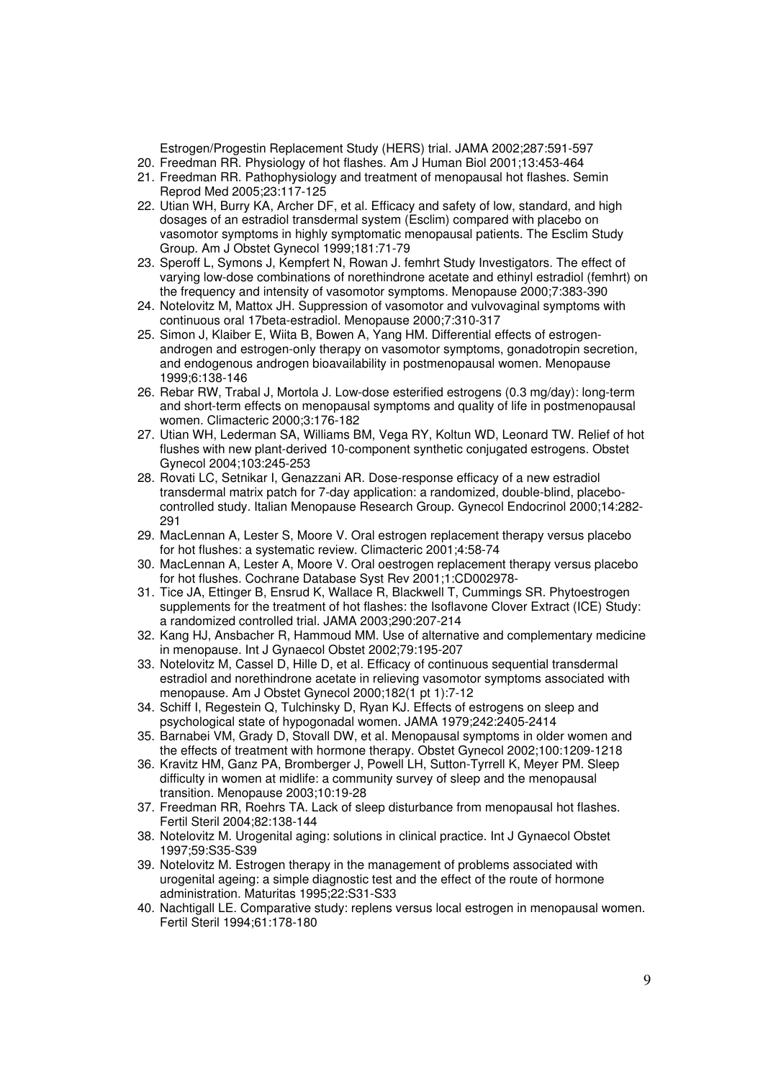Estrogen/Progestin Replacement Study (HERS) trial. JAMA 2002;287:591-597

- 20. Freedman RR. Physiology of hot flashes. Am J Human Biol 2001;13:453-464
- 21. Freedman RR. Pathophysiology and treatment of menopausal hot flashes. Semin Reprod Med 2005;23:117-125
- 22. Utian WH, Burry KA, Archer DF, et al. Efficacy and safety of low, standard, and high dosages of an estradiol transdermal system (Esclim) compared with placebo on vasomotor symptoms in highly symptomatic menopausal patients. The Esclim Study Group. Am J Obstet Gynecol 1999;181:71-79
- 23. Speroff L, Symons J, Kempfert N, Rowan J. femhrt Study Investigators. The effect of varying low-dose combinations of norethindrone acetate and ethinyl estradiol (femhrt) on the frequency and intensity of vasomotor symptoms. Menopause 2000;7:383-390
- 24. Notelovitz M, Mattox JH. Suppression of vasomotor and vulvovaginal symptoms with continuous oral 17beta-estradiol. Menopause 2000;7:310-317
- 25. Simon J, Klaiber E, Wiita B, Bowen A, Yang HM. Differential effects of estrogenandrogen and estrogen-only therapy on vasomotor symptoms, gonadotropin secretion, and endogenous androgen bioavailability in postmenopausal women. Menopause 1999;6:138-146
- 26. Rebar RW, Trabal J, Mortola J. Low-dose esterified estrogens (0.3 mg/day): long-term and short-term effects on menopausal symptoms and quality of life in postmenopausal women. Climacteric 2000;3:176-182
- 27. Utian WH, Lederman SA, Williams BM, Vega RY, Koltun WD, Leonard TW. Relief of hot flushes with new plant-derived 10-component synthetic conjugated estrogens. Obstet Gynecol 2004;103:245-253
- 28. Rovati LC, Setnikar I, Genazzani AR. Dose-response efficacy of a new estradiol transdermal matrix patch for 7-day application: a randomized, double-blind, placebocontrolled study. Italian Menopause Research Group. Gynecol Endocrinol 2000;14:282- 291
- 29. MacLennan A, Lester S, Moore V. Oral estrogen replacement therapy versus placebo for hot flushes: a systematic review. Climacteric 2001;4:58-74
- 30. MacLennan A, Lester A, Moore V. Oral oestrogen replacement therapy versus placebo for hot flushes. Cochrane Database Syst Rev 2001;1:CD002978-
- 31. Tice JA, Ettinger B, Ensrud K, Wallace R, Blackwell T, Cummings SR. Phytoestrogen supplements for the treatment of hot flashes: the Isoflavone Clover Extract (ICE) Study: a randomized controlled trial. JAMA 2003;290:207-214
- 32. Kang HJ, Ansbacher R, Hammoud MM. Use of alternative and complementary medicine in menopause. Int J Gynaecol Obstet 2002;79:195-207
- 33. Notelovitz M, Cassel D, Hille D, et al. Efficacy of continuous sequential transdermal estradiol and norethindrone acetate in relieving vasomotor symptoms associated with menopause. Am J Obstet Gynecol 2000;182(1 pt 1):7-12
- 34. Schiff I, Regestein Q, Tulchinsky D, Ryan KJ. Effects of estrogens on sleep and psychological state of hypogonadal women. JAMA 1979;242:2405-2414
- 35. Barnabei VM, Grady D, Stovall DW, et al. Menopausal symptoms in older women and the effects of treatment with hormone therapy. Obstet Gynecol 2002;100:1209-1218
- 36. Kravitz HM, Ganz PA, Bromberger J, Powell LH, Sutton-Tyrrell K, Meyer PM. Sleep difficulty in women at midlife: a community survey of sleep and the menopausal transition. Menopause 2003;10:19-28
- 37. Freedman RR, Roehrs TA. Lack of sleep disturbance from menopausal hot flashes. Fertil Steril 2004;82:138-144
- 38. Notelovitz M. Urogenital aging: solutions in clinical practice. Int J Gynaecol Obstet 1997;59:S35-S39
- 39. Notelovitz M. Estrogen therapy in the management of problems associated with urogenital ageing: a simple diagnostic test and the effect of the route of hormone administration. Maturitas 1995;22:S31-S33
- 40. Nachtigall LE. Comparative study: replens versus local estrogen in menopausal women. Fertil Steril 1994;61:178-180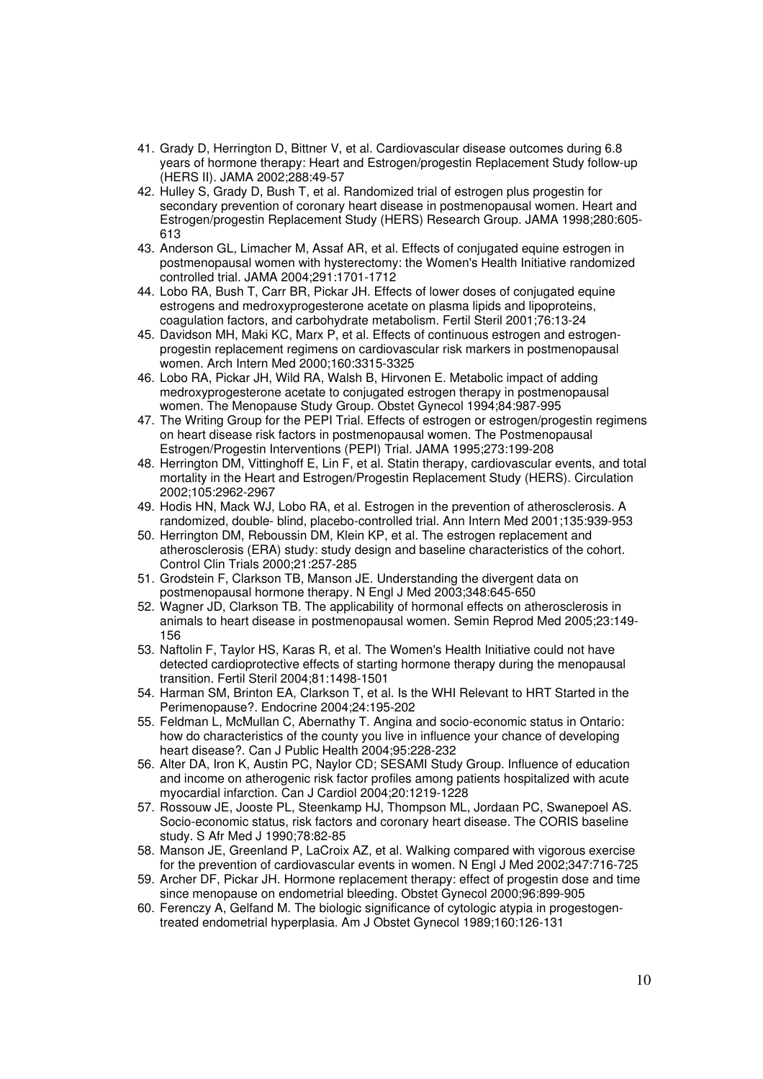- 41. Grady D, Herrington D, Bittner V, et al. Cardiovascular disease outcomes during 6.8 years of hormone therapy: Heart and Estrogen/progestin Replacement Study follow-up (HERS II). JAMA 2002;288:49-57
- 42. Hulley S, Grady D, Bush T, et al. Randomized trial of estrogen plus progestin for secondary prevention of coronary heart disease in postmenopausal women. Heart and Estrogen/progestin Replacement Study (HERS) Research Group. JAMA 1998;280:605- 613
- 43. Anderson GL, Limacher M, Assaf AR, et al. Effects of conjugated equine estrogen in postmenopausal women with hysterectomy: the Women's Health Initiative randomized controlled trial. JAMA 2004;291:1701-1712
- 44. Lobo RA, Bush T, Carr BR, Pickar JH. Effects of lower doses of conjugated equine estrogens and medroxyprogesterone acetate on plasma lipids and lipoproteins, coagulation factors, and carbohydrate metabolism. Fertil Steril 2001;76:13-24
- 45. Davidson MH, Maki KC, Marx P, et al. Effects of continuous estrogen and estrogenprogestin replacement regimens on cardiovascular risk markers in postmenopausal women. Arch Intern Med 2000;160:3315-3325
- 46. Lobo RA, Pickar JH, Wild RA, Walsh B, Hirvonen E. Metabolic impact of adding medroxyprogesterone acetate to conjugated estrogen therapy in postmenopausal women. The Menopause Study Group. Obstet Gynecol 1994;84:987-995
- 47. The Writing Group for the PEPI Trial. Effects of estrogen or estrogen/progestin regimens on heart disease risk factors in postmenopausal women. The Postmenopausal Estrogen/Progestin Interventions (PEPI) Trial. JAMA 1995;273:199-208
- 48. Herrington DM, Vittinghoff E, Lin F, et al. Statin therapy, cardiovascular events, and total mortality in the Heart and Estrogen/Progestin Replacement Study (HERS). Circulation 2002;105:2962-2967
- 49. Hodis HN, Mack WJ, Lobo RA, et al. Estrogen in the prevention of atherosclerosis. A randomized, double- blind, placebo-controlled trial. Ann Intern Med 2001;135:939-953
- 50. Herrington DM, Reboussin DM, Klein KP, et al. The estrogen replacement and atherosclerosis (ERA) study: study design and baseline characteristics of the cohort. Control Clin Trials 2000;21:257-285
- 51. Grodstein F, Clarkson TB, Manson JE. Understanding the divergent data on postmenopausal hormone therapy. N Engl J Med 2003;348:645-650
- 52. Wagner JD, Clarkson TB. The applicability of hormonal effects on atherosclerosis in animals to heart disease in postmenopausal women. Semin Reprod Med 2005;23:149- 156
- 53. Naftolin F, Taylor HS, Karas R, et al. The Women's Health Initiative could not have detected cardioprotective effects of starting hormone therapy during the menopausal transition. Fertil Steril 2004;81:1498-1501
- 54. Harman SM, Brinton EA, Clarkson T, et al. Is the WHI Relevant to HRT Started in the Perimenopause?. Endocrine 2004;24:195-202
- 55. Feldman L, McMullan C, Abernathy T. Angina and socio-economic status in Ontario: how do characteristics of the county you live in influence your chance of developing heart disease?. Can J Public Health 2004;95:228-232
- 56. Alter DA, Iron K, Austin PC, Naylor CD; SESAMI Study Group. Influence of education and income on atherogenic risk factor profiles among patients hospitalized with acute myocardial infarction. Can J Cardiol 2004;20:1219-1228
- 57. Rossouw JE, Jooste PL, Steenkamp HJ, Thompson ML, Jordaan PC, Swanepoel AS. Socio-economic status, risk factors and coronary heart disease. The CORIS baseline study. S Afr Med J 1990;78:82-85
- 58. Manson JE, Greenland P, LaCroix AZ, et al. Walking compared with vigorous exercise for the prevention of cardiovascular events in women. N Engl J Med 2002;347:716-725
- 59. Archer DF, Pickar JH. Hormone replacement therapy: effect of progestin dose and time since menopause on endometrial bleeding. Obstet Gynecol 2000;96:899-905
- 60. Ferenczy A, Gelfand M. The biologic significance of cytologic atypia in progestogentreated endometrial hyperplasia. Am J Obstet Gynecol 1989;160:126-131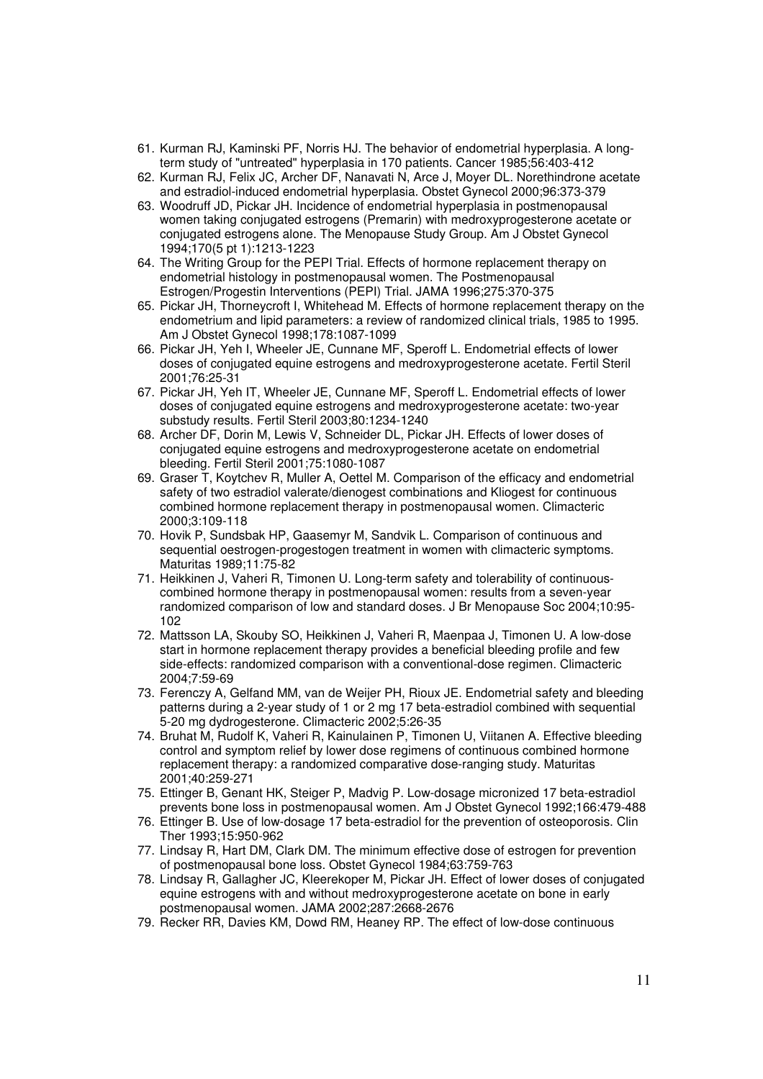- 61. Kurman RJ, Kaminski PF, Norris HJ. The behavior of endometrial hyperplasia. A longterm study of "untreated" hyperplasia in 170 patients. Cancer 1985;56:403-412
- 62. Kurman RJ, Felix JC, Archer DF, Nanavati N, Arce J, Moyer DL. Norethindrone acetate and estradiol-induced endometrial hyperplasia. Obstet Gynecol 2000;96:373-379
- 63. Woodruff JD, Pickar JH. Incidence of endometrial hyperplasia in postmenopausal women taking conjugated estrogens (Premarin) with medroxyprogesterone acetate or conjugated estrogens alone. The Menopause Study Group. Am J Obstet Gynecol 1994;170(5 pt 1):1213-1223
- 64. The Writing Group for the PEPI Trial. Effects of hormone replacement therapy on endometrial histology in postmenopausal women. The Postmenopausal Estrogen/Progestin Interventions (PEPI) Trial. JAMA 1996;275:370-375
- 65. Pickar JH, Thorneycroft I, Whitehead M. Effects of hormone replacement therapy on the endometrium and lipid parameters: a review of randomized clinical trials, 1985 to 1995. Am J Obstet Gynecol 1998;178:1087-1099
- 66. Pickar JH, Yeh I, Wheeler JE, Cunnane MF, Speroff L. Endometrial effects of lower doses of conjugated equine estrogens and medroxyprogesterone acetate. Fertil Steril 2001;76:25-31
- 67. Pickar JH, Yeh IT, Wheeler JE, Cunnane MF, Speroff L. Endometrial effects of lower doses of conjugated equine estrogens and medroxyprogesterone acetate: two-year substudy results. Fertil Steril 2003;80:1234-1240
- 68. Archer DF, Dorin M, Lewis V, Schneider DL, Pickar JH. Effects of lower doses of conjugated equine estrogens and medroxyprogesterone acetate on endometrial bleeding. Fertil Steril 2001;75:1080-1087
- 69. Graser T, Koytchev R, Muller A, Oettel M. Comparison of the efficacy and endometrial safety of two estradiol valerate/dienogest combinations and Kliogest for continuous combined hormone replacement therapy in postmenopausal women. Climacteric 2000;3:109-118
- 70. Hovik P, Sundsbak HP, Gaasemyr M, Sandvik L. Comparison of continuous and sequential oestrogen-progestogen treatment in women with climacteric symptoms. Maturitas 1989;11:75-82
- 71. Heikkinen J, Vaheri R, Timonen U. Long-term safety and tolerability of continuouscombined hormone therapy in postmenopausal women: results from a seven-year randomized comparison of low and standard doses. J Br Menopause Soc 2004;10:95- 102
- 72. Mattsson LA, Skouby SO, Heikkinen J, Vaheri R, Maenpaa J, Timonen U. A low-dose start in hormone replacement therapy provides a beneficial bleeding profile and few side-effects: randomized comparison with a conventional-dose regimen. Climacteric 2004;7:59-69
- 73. Ferenczy A, Gelfand MM, van de Weijer PH, Rioux JE. Endometrial safety and bleeding patterns during a 2-year study of 1 or 2 mg 17 beta-estradiol combined with sequential 5-20 mg dydrogesterone. Climacteric 2002;5:26-35
- 74. Bruhat M, Rudolf K, Vaheri R, Kainulainen P, Timonen U, Viitanen A. Effective bleeding control and symptom relief by lower dose regimens of continuous combined hormone replacement therapy: a randomized comparative dose-ranging study. Maturitas 2001;40:259-271
- 75. Ettinger B, Genant HK, Steiger P, Madvig P. Low-dosage micronized 17 beta-estradiol prevents bone loss in postmenopausal women. Am J Obstet Gynecol 1992;166:479-488
- 76. Ettinger B. Use of low-dosage 17 beta-estradiol for the prevention of osteoporosis. Clin Ther 1993;15:950-962
- 77. Lindsay R, Hart DM, Clark DM. The minimum effective dose of estrogen for prevention of postmenopausal bone loss. Obstet Gynecol 1984;63:759-763
- 78. Lindsay R, Gallagher JC, Kleerekoper M, Pickar JH. Effect of lower doses of conjugated equine estrogens with and without medroxyprogesterone acetate on bone in early postmenopausal women. JAMA 2002;287:2668-2676
- 79. Recker RR, Davies KM, Dowd RM, Heaney RP. The effect of low-dose continuous